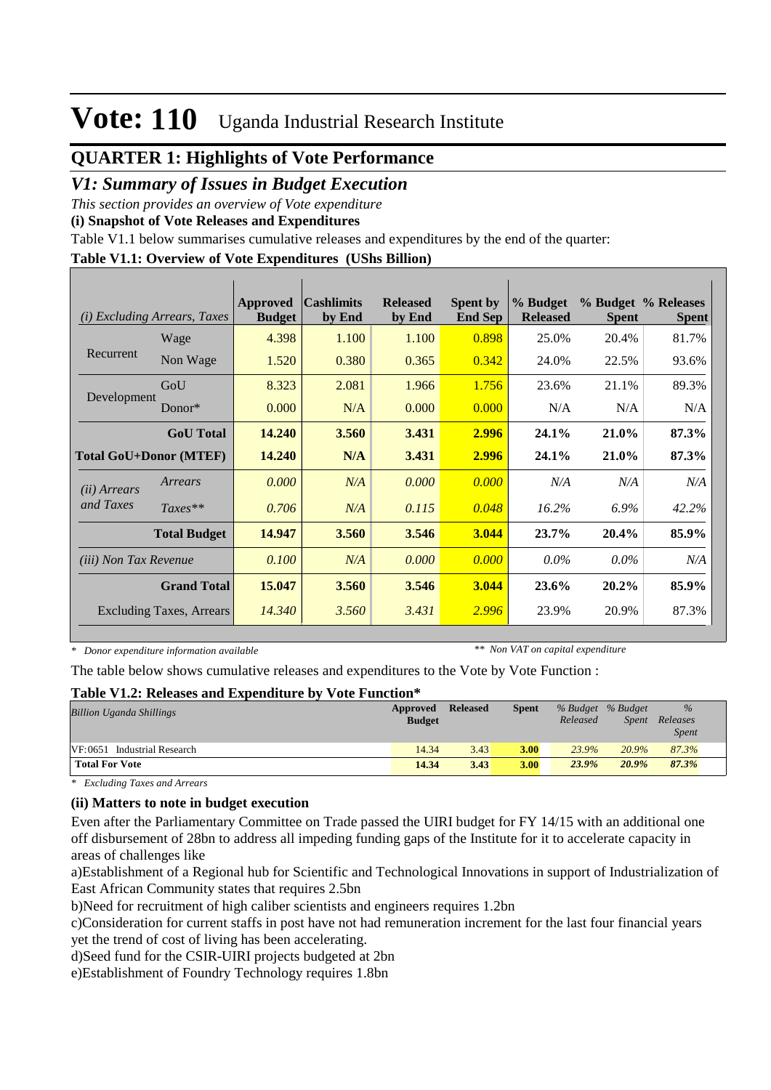## **QUARTER 1: Highlights of Vote Performance**

#### *V1: Summary of Issues in Budget Execution*

*This section provides an overview of Vote expenditure* 

**(i) Snapshot of Vote Releases and Expenditures**

Table V1.1 below summarises cumulative releases and expenditures by the end of the quarter:

#### **Table V1.1: Overview of Vote Expenditures (UShs Billion)**

| (i)                          | <b>Excluding Arrears, Taxes</b> | Approved<br><b>Budget</b> | <b>Cashlimits</b><br>by End | <b>Released</b><br>by End | <b>Spent by</b><br><b>End Sep</b> | % Budget<br><b>Released</b> | <b>Spent</b> | % Budget % Releases<br><b>Spent</b> |
|------------------------------|---------------------------------|---------------------------|-----------------------------|---------------------------|-----------------------------------|-----------------------------|--------------|-------------------------------------|
|                              | Wage                            | 4.398                     | 1.100                       | 1.100                     | 0.898                             | 25.0%                       | 20.4%        | 81.7%                               |
| Recurrent                    | Non Wage                        | 1.520                     | 0.380                       | 0.365                     | 0.342                             | 24.0%                       | 22.5%        | 93.6%                               |
|                              | GoU                             | 8.323                     | 2.081                       | 1.966                     | 1.756                             | 23.6%                       | 21.1%        | 89.3%                               |
| Development                  | $Donor*$                        | 0.000                     | N/A                         | 0.000                     | 0.000                             | N/A                         | N/A          | N/A                                 |
|                              | <b>GoU</b> Total                | 14.240                    | 3.560                       | 3.431                     | 2.996                             | 24.1%                       | 21.0%        | 87.3%                               |
|                              | <b>Total GoU+Donor (MTEF)</b>   | 14.240                    | N/A                         | 3.431                     | 2.996                             | 24.1%                       | 21.0%        | 87.3%                               |
| ( <i>ii</i> ) Arrears        | Arrears                         | 0.000                     | N/A                         | 0.000                     | 0.000                             | N/A                         | N/A          | N/A                                 |
| and Taxes                    | $Taxes**$                       | 0.706                     | N/A                         | 0.115                     | 0.048                             | 16.2%                       | 6.9%         | 42.2%                               |
|                              | <b>Total Budget</b>             | 14.947                    | 3.560                       | 3.546                     | 3.044                             | 23.7%                       | 20.4%        | 85.9%                               |
| <i>(iii)</i> Non Tax Revenue |                                 | 0.100                     | N/A                         | 0.000                     | 0.000                             | $0.0\%$                     | $0.0\%$      | N/A                                 |
|                              | <b>Grand Total</b>              | 15.047                    | 3.560                       | 3.546                     | 3.044                             | 23.6%                       | 20.2%        | 85.9%                               |
|                              | <b>Excluding Taxes, Arrears</b> | 14.340                    | 3.560                       | 3.431                     | 2.996                             | 23.9%                       | 20.9%        | 87.3%                               |

*\* Donor expenditure information available*

*\*\* Non VAT on capital expenditure*

The table below shows cumulative releases and expenditures to the Vote by Vote Function :

#### **Table V1.2: Releases and Expenditure by Vote Function\***

| <b>Billion Uganda Shillings</b> | Approved<br><b>Budget</b> | <b>Released</b> | <b>Spent</b> | % Budget % Budget<br>Released | <i>Spent</i> | $\%$<br>Releases<br><b>Spent</b> |  |
|---------------------------------|---------------------------|-----------------|--------------|-------------------------------|--------------|----------------------------------|--|
| VF:0651 Industrial Research     | 14.34                     | 3.43            | <b>3.00</b>  | 23.9%                         | 20.9%        | 87.3%                            |  |
| <b>Total For Vote</b>           | 14.34                     | 3.43            | 3.00         | 23.9%                         | $20.9\%$     | 87.3%                            |  |

*\* Excluding Taxes and Arrears*

#### **(ii) Matters to note in budget execution**

Even after the Parliamentary Committee on Trade passed the UIRI budget for FY 14/15 with an additional one off disbursement of 28bn to address all impeding funding gaps of the Institute for it to accelerate capacity in areas of challenges like

a) Establishment of a Regional hub for Scientific and Technological Innovations in support of Industrialization of East African Community states that requires 2.5bn

b) Need for recruitment of high caliber scientists and engineers requires 1.2bn

c) Consideration for current staffs in post have not had remuneration increment for the last four financial years yet the trend of cost of living has been accelerating.

d)Seed fund for the CSIR-UIRI projects budgeted at 2bn

e)Establishment of Foundry Technology requires 1.8bn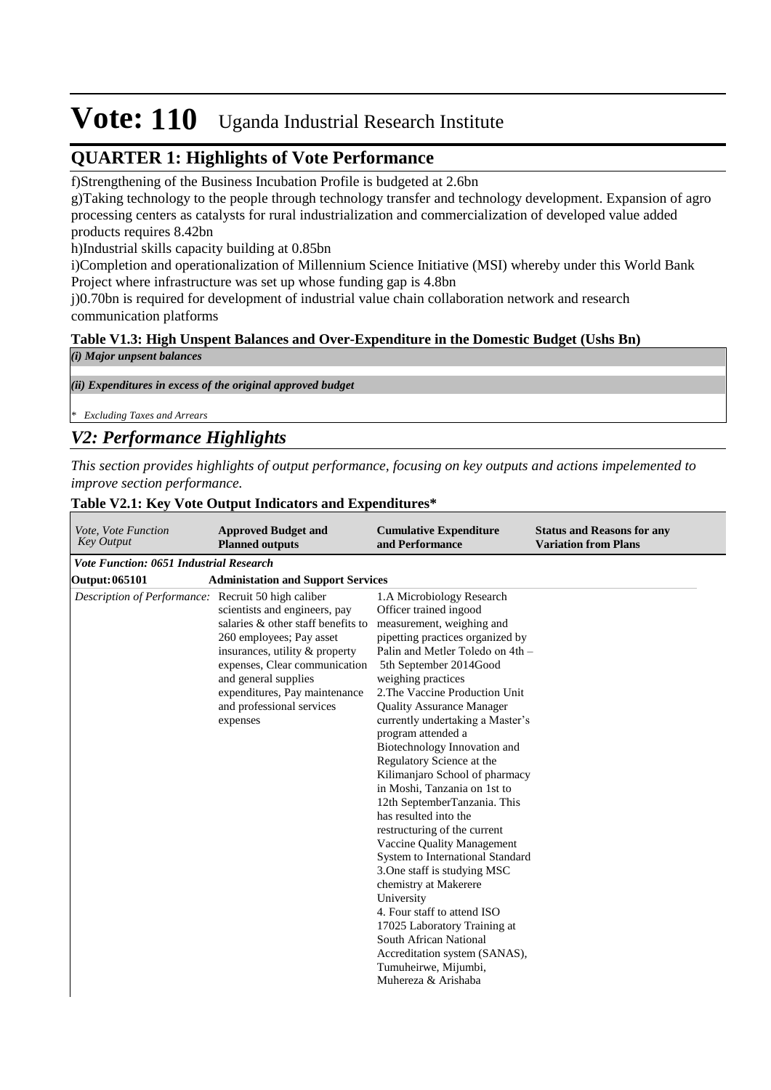## **QUARTER 1: Highlights of Vote Performance**

f)Strengthening of the Business Incubation Profile is budgeted at 2.6bn

g)Taking technology to the people through technology transfer and technology development. Expansion of agro processing centers as catalysts for rural industrialization and commercialization of developed value added products requires 8.42bn

h)Industrial skills capacity building at 0.85bn

i)Completion and operationalization of Millennium Science Initiative (MSI) whereby under this World Bank Project where infrastructure was set up whose funding gap is 4.8bn

j)0.70bn is required for development of industrial value chain collaboration network and research communication platforms

#### **Table V1.3: High Unspent Balances and Over-Expenditure in the Domestic Budget (Ushs Bn)**

| (i) Major unpsent balances                                  |  |  |
|-------------------------------------------------------------|--|--|
|                                                             |  |  |
| (ii) Expenditures in excess of the original approved budget |  |  |
|                                                             |  |  |
| <sup>*</sup> Excluding Taxes and Arrears                    |  |  |
| V2: Performance Highlights                                  |  |  |

*This section provides highlights of output performance, focusing on key outputs and actions impelemented to improve section performance.*

#### **Cumulative Expenditure and Performance Approved Budget and Planned outputs Status and Reasons for any Variation from Plans** *Vote, Vote Function Key Output Vote Function: 0651 Industrial Research* **Output: 065101 Administation and Support Services** *Description of Performance:* Recruit 50 high caliber scientists and engineers, pay salaries & other staff benefits to 260 employees; Pay asset insurances, utility & property expenses, Clear communication and general supplies expenditures, Pay maintenance and professional services expenses 1. A Microbiology Research Officer trained ingood measurement, weighing and pipetting practices organized by Palin and Metler Toledo on 4th – 5th September 2014Good weighing practices 2. The Vaccine Production Unit Quality Assurance Manager currently undertaking a Master's program attended a Biotechnology Innovation and Regulatory Science at the Kilimanjaro School of pharmacy in Moshi, Tanzania on 1st to 12th SeptemberTanzania. This has resulted into the restructuring of the current Vaccine Quality Management System to International Standard 3. One staff is studying MSC chemistry at Makerere University 4. Four staff to attend ISO 17025 Laboratory Training at South African National Accreditation system (SANAS), Tumuheirwe, Mijumbi, Muhereza & Arishaba

#### **Table V2.1: Key Vote Output Indicators and Expenditures\***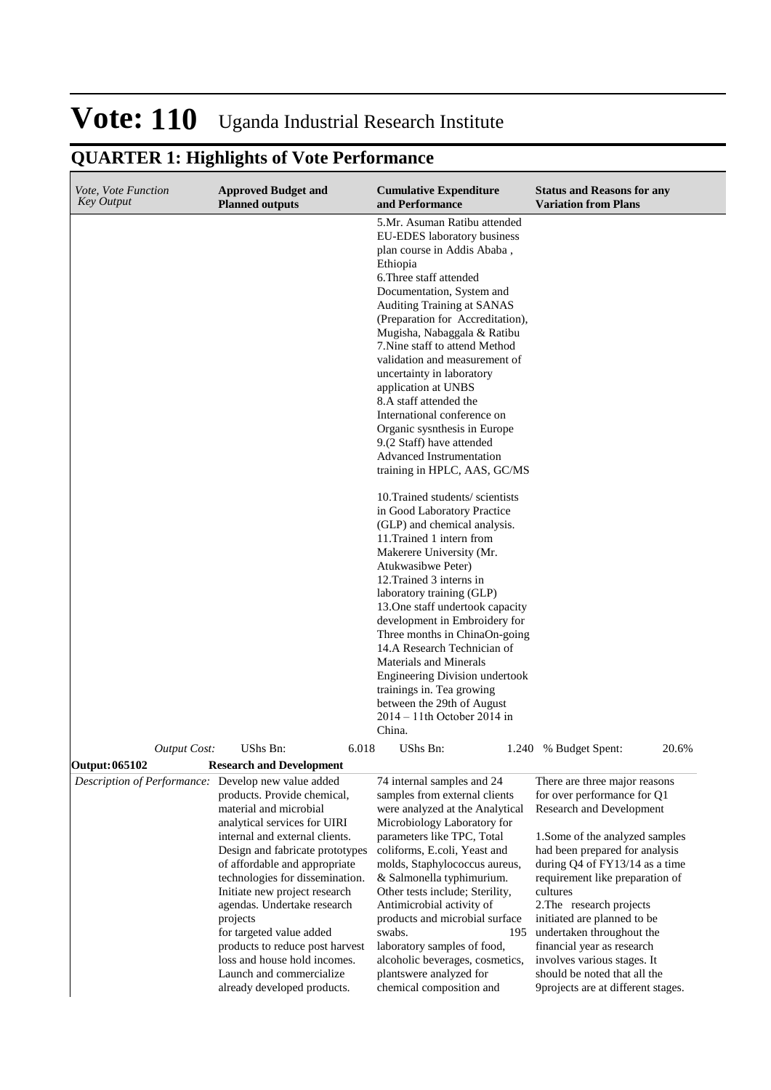for targeted value added products to reduce post harvest loss and house hold incomes. Launch and commercialize already developed products.

#### **Cumulative Expenditure and Performance Approved Budget and Planned outputs Status and Reasons for any Variation from Plans** *Vote, Vote Function Key Output* 5. Mr. Asuman Ratibu attended EU-EDES laboratory business plan course in Addis Ababa , Ethiopia 6. Three staff attended Documentation, System and Auditing Training at SANAS (Preparation for Accreditation), Mugisha, Nabaggala & Ratibu 7. Nine staff to attend Method validation and measurement of uncertainty in laboratory application at UNBS 8.A staff attended the International conference on Organic sysnthesis in Europe 9.(2 Staff) have attended Advanced Instrumentation training in HPLC, AAS, GC/MS 10. Trained students/ scientists in Good Laboratory Practice (GLP) and chemical analysis. 11. Trained 1 intern from Makerere University (Mr. Atukwasibwe Peter) 12. Trained 3 interns in laboratory training (GLP) 13. One staff undertook capacity development in Embroidery for Three months in ChinaOn-going 14.A Research Technician of Materials and Minerals Engineering Division undertook trainings in. Tea growing between the 29th of August 2014 – 11th October 2014 in China. *Output Cost:* UShs Bn: 6.018 UShs Bn: 1.240 % Budget Spent: 20.6% **Output: 065102 Research and Development** *Description of Performance:* Develop new value added products. Provide chemical, material and microbial analytical services for UIRI internal and external clients. Design and fabricate prototypes of affordable and appropriate technologies for dissemination. Initiate new project research agendas. Undertake research projects 74 internal samples and 24 samples from external clients were analyzed at the Analytical Microbiology Laboratory for parameters like TPC, Total coliforms, E.coli, Yeast and molds, Staphylococcus aureus, & Salmonella typhimurium. Other tests include; Sterility, Antimicrobial activity of products and microbial surface There are three major reasons for over performance for Q1 Research and Development 1. Some of the analyzed samples had been prepared for analysis during Q4 of FY13/14 as a time requirement like preparation of cultures 2. The research projects

laboratory samples of food,

plants were analyzed for chemical composition and

## **QUARTER 1: Highlights of Vote Performance**

swabs. 195 alcoholic beverages, cosmetics, initiated are planned to be undertaken throughout the financial year as research involves various stages. It should be noted that all the 9projects are at different stages.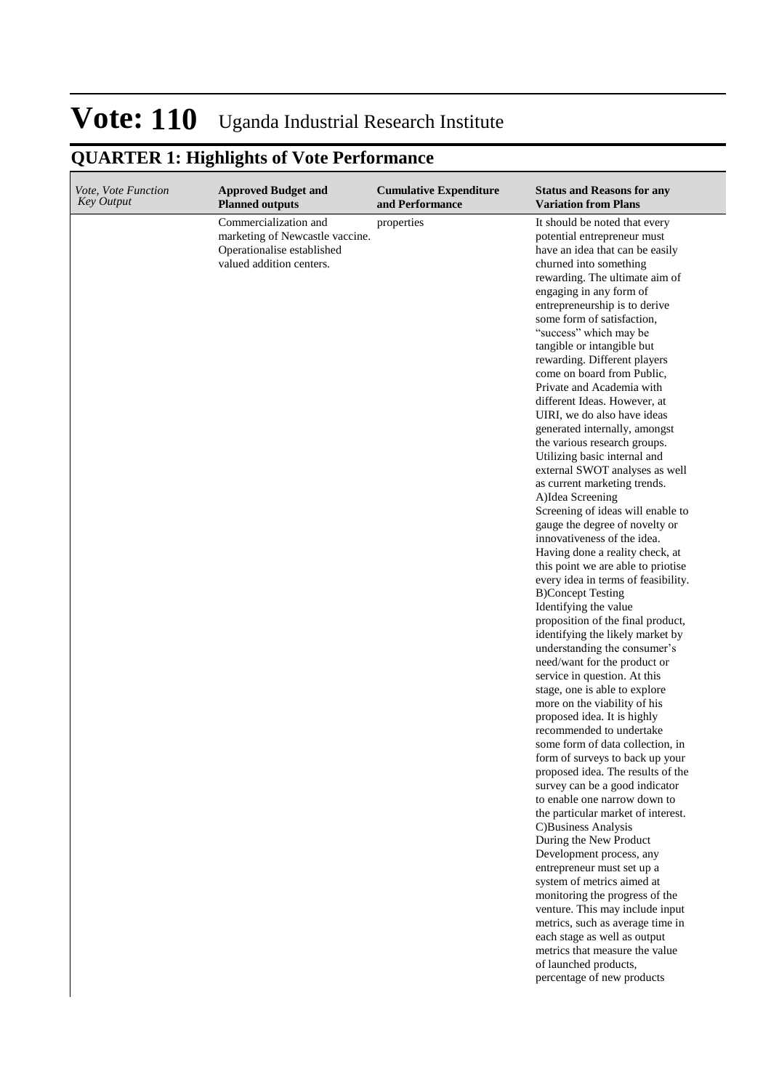| Vote, Vote Function<br><b>Key Output</b> | <b>Approved Budget and</b><br><b>Planned outputs</b>                                                               | <b>Cumulative Expenditure</b><br>and Performance | <b>Status and Reasons for any</b><br><b>Variation from Plans</b>                                                                                                                                                                                                                                                                                                                                                                                                                                                                                                                                                                                                                                                                                                                                                                                                                                                                                                                                                                                                                                                                                                                                                                                                                                                                                                                                                                                                                                                                                                                                                                                                                                                                                                                                                                              |
|------------------------------------------|--------------------------------------------------------------------------------------------------------------------|--------------------------------------------------|-----------------------------------------------------------------------------------------------------------------------------------------------------------------------------------------------------------------------------------------------------------------------------------------------------------------------------------------------------------------------------------------------------------------------------------------------------------------------------------------------------------------------------------------------------------------------------------------------------------------------------------------------------------------------------------------------------------------------------------------------------------------------------------------------------------------------------------------------------------------------------------------------------------------------------------------------------------------------------------------------------------------------------------------------------------------------------------------------------------------------------------------------------------------------------------------------------------------------------------------------------------------------------------------------------------------------------------------------------------------------------------------------------------------------------------------------------------------------------------------------------------------------------------------------------------------------------------------------------------------------------------------------------------------------------------------------------------------------------------------------------------------------------------------------------------------------------------------------|
|                                          | Commercialization and<br>marketing of Newcastle vaccine.<br>Operationalise established<br>valued addition centers. | properties                                       | It should be noted that every<br>potential entrepreneur must<br>have an idea that can be easily<br>churned into something<br>rewarding. The ultimate aim of<br>engaging in any form of<br>entrepreneurship is to derive<br>some form of satisfaction,<br>"success" which may be<br>tangible or intangible but<br>rewarding. Different players<br>come on board from Public,<br>Private and Academia with<br>different Ideas. However, at<br>UIRI, we do also have ideas<br>generated internally, amongst<br>the various research groups.<br>Utilizing basic internal and<br>external SWOT analyses as well<br>as current marketing trends.<br>A)Idea Screening<br>Screening of ideas will enable to<br>gauge the degree of novelty or<br>innovativeness of the idea.<br>Having done a reality check, at<br>this point we are able to priotise<br>every idea in terms of feasibility.<br><b>B)Concept Testing</b><br>Identifying the value<br>proposition of the final product,<br>identifying the likely market by<br>understanding the consumer's<br>need/want for the product or<br>service in question. At this<br>stage, one is able to explore<br>more on the viability of his<br>proposed idea. It is highly<br>recommended to undertake<br>some form of data collection, in<br>form of surveys to back up your<br>proposed idea. The results of the<br>survey can be a good indicator<br>to enable one narrow down to<br>the particular market of interest.<br>C)Business Analysis<br>During the New Product<br>Development process, any<br>entrepreneur must set up a<br>system of metrics aimed at<br>monitoring the progress of the<br>venture. This may include input<br>metrics, such as average time in<br>each stage as well as output<br>metrics that measure the value<br>of launched products,<br>percentage of new products |
|                                          |                                                                                                                    |                                                  |                                                                                                                                                                                                                                                                                                                                                                                                                                                                                                                                                                                                                                                                                                                                                                                                                                                                                                                                                                                                                                                                                                                                                                                                                                                                                                                                                                                                                                                                                                                                                                                                                                                                                                                                                                                                                                               |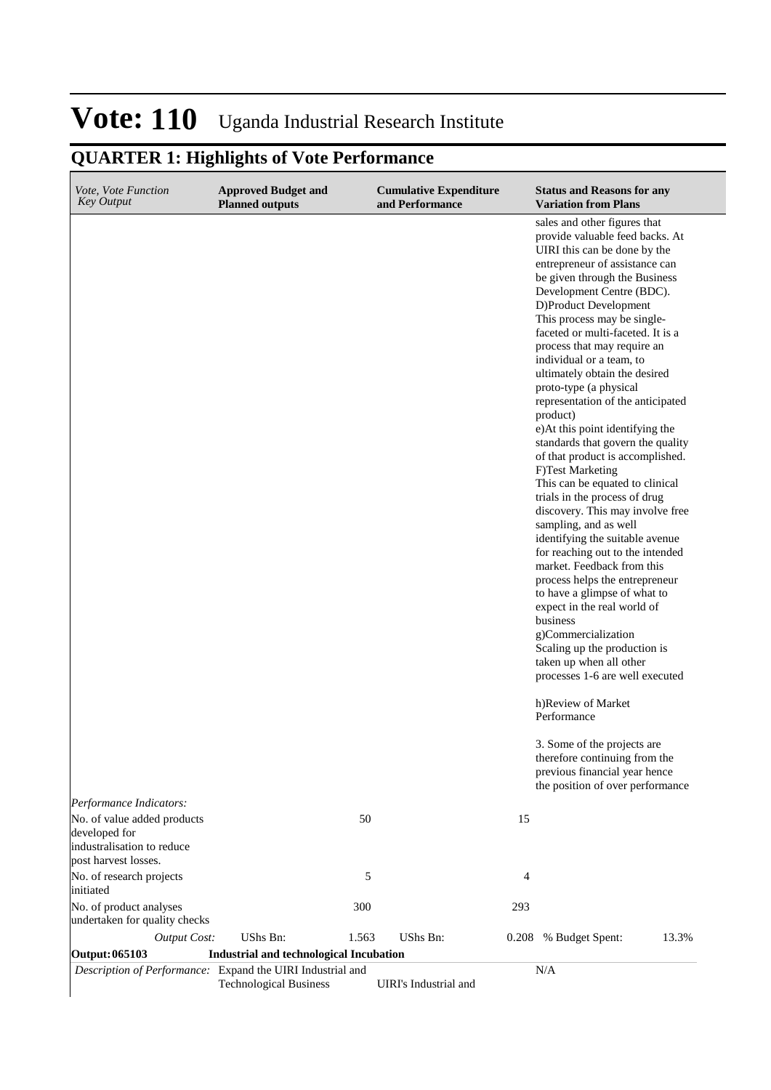| Vote, Vote Function<br><b>Key Output</b>                                                                                      | <b>Approved Budget and</b><br><b>Planned outputs</b> |       | <b>Cumulative Expenditure</b><br>and Performance |       | <b>Status and Reasons for any</b><br><b>Variation from Plans</b>                                                                                                                                                                                                                                                                                                                                                                                                                                                                                                                                                                                                                                                                                                                                                                                                                                                                                                                                                                                                                                                                                                                                                                                      |       |
|-------------------------------------------------------------------------------------------------------------------------------|------------------------------------------------------|-------|--------------------------------------------------|-------|-------------------------------------------------------------------------------------------------------------------------------------------------------------------------------------------------------------------------------------------------------------------------------------------------------------------------------------------------------------------------------------------------------------------------------------------------------------------------------------------------------------------------------------------------------------------------------------------------------------------------------------------------------------------------------------------------------------------------------------------------------------------------------------------------------------------------------------------------------------------------------------------------------------------------------------------------------------------------------------------------------------------------------------------------------------------------------------------------------------------------------------------------------------------------------------------------------------------------------------------------------|-------|
|                                                                                                                               |                                                      |       |                                                  |       | sales and other figures that<br>provide valuable feed backs. At<br>UIRI this can be done by the<br>entrepreneur of assistance can<br>be given through the Business<br>Development Centre (BDC).<br>D)Product Development<br>This process may be single-<br>faceted or multi-faceted. It is a<br>process that may require an<br>individual or a team, to<br>ultimately obtain the desired<br>proto-type (a physical<br>representation of the anticipated<br>product)<br>e)At this point identifying the<br>standards that govern the quality<br>of that product is accomplished.<br>F)Test Marketing<br>This can be equated to clinical<br>trials in the process of drug<br>discovery. This may involve free<br>sampling, and as well<br>identifying the suitable avenue<br>for reaching out to the intended<br>market. Feedback from this<br>process helps the entrepreneur<br>to have a glimpse of what to<br>expect in the real world of<br>business<br>g)Commercialization<br>Scaling up the production is<br>taken up when all other<br>processes 1-6 are well executed<br>h)Review of Market<br>Performance<br>3. Some of the projects are<br>therefore continuing from the<br>previous financial year hence<br>the position of over performance |       |
| Performance Indicators:<br>No. of value added products<br>developed for<br>industralisation to reduce<br>post harvest losses. |                                                      | 50    |                                                  | 15    |                                                                                                                                                                                                                                                                                                                                                                                                                                                                                                                                                                                                                                                                                                                                                                                                                                                                                                                                                                                                                                                                                                                                                                                                                                                       |       |
| No. of research projects                                                                                                      |                                                      | 5     |                                                  | 4     |                                                                                                                                                                                                                                                                                                                                                                                                                                                                                                                                                                                                                                                                                                                                                                                                                                                                                                                                                                                                                                                                                                                                                                                                                                                       |       |
| initiated<br>No. of product analyses<br>undertaken for quality checks                                                         |                                                      | 300   |                                                  | 293   |                                                                                                                                                                                                                                                                                                                                                                                                                                                                                                                                                                                                                                                                                                                                                                                                                                                                                                                                                                                                                                                                                                                                                                                                                                                       |       |
| <b>Output Cost:</b>                                                                                                           | UShs Bn:                                             | 1.563 | UShs Bn:                                         | 0.208 | % Budget Spent:                                                                                                                                                                                                                                                                                                                                                                                                                                                                                                                                                                                                                                                                                                                                                                                                                                                                                                                                                                                                                                                                                                                                                                                                                                       | 13.3% |
| <b>Output: 065103</b>                                                                                                         | <b>Industrial and technological Incubation</b>       |       |                                                  |       |                                                                                                                                                                                                                                                                                                                                                                                                                                                                                                                                                                                                                                                                                                                                                                                                                                                                                                                                                                                                                                                                                                                                                                                                                                                       |       |
| Description of Performance: Expand the UIRI Industrial and                                                                    | <b>Technological Business</b>                        |       | UIRI's Industrial and                            |       | N/A                                                                                                                                                                                                                                                                                                                                                                                                                                                                                                                                                                                                                                                                                                                                                                                                                                                                                                                                                                                                                                                                                                                                                                                                                                                   |       |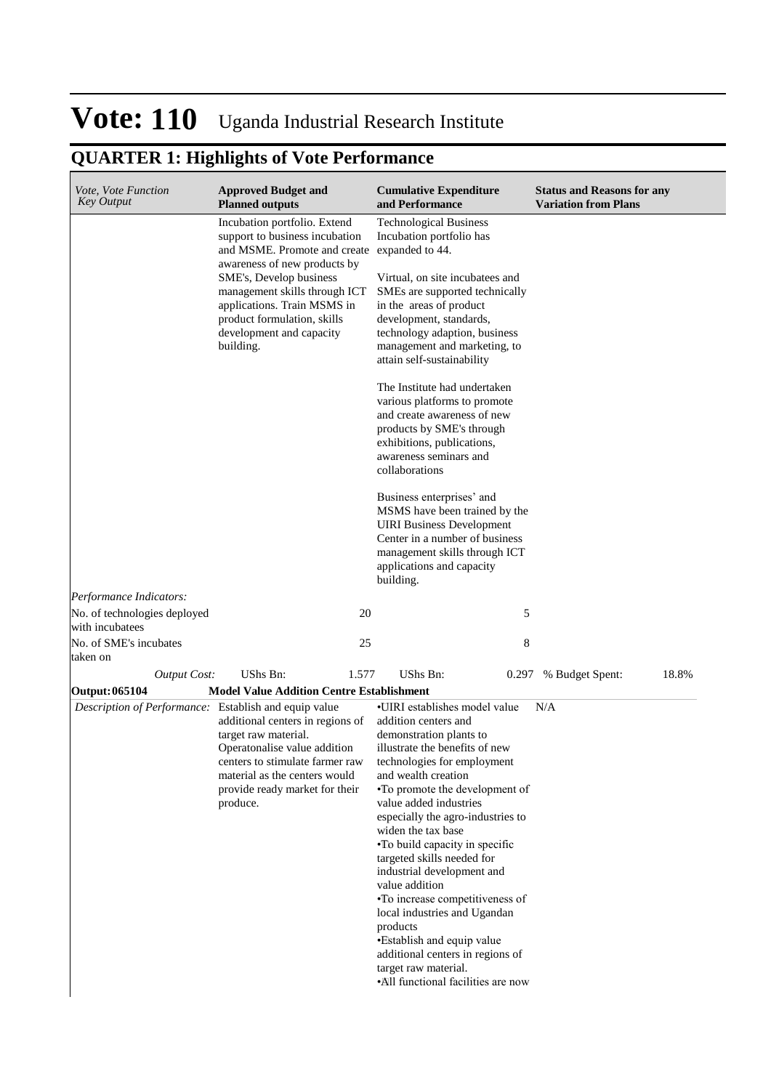| <i>Vote, Vote Function</i><br><b>Key Output</b>       | <b>Approved Budget and</b><br><b>Planned outputs</b>                                                                                                                                                                                                                                                              | <b>Cumulative Expenditure</b><br>and Performance                                                                                                                                                                                                                                                                                                                                                                                                                                                                                                                                                                               | <b>Status and Reasons for any</b><br><b>Variation from Plans</b> |
|-------------------------------------------------------|-------------------------------------------------------------------------------------------------------------------------------------------------------------------------------------------------------------------------------------------------------------------------------------------------------------------|--------------------------------------------------------------------------------------------------------------------------------------------------------------------------------------------------------------------------------------------------------------------------------------------------------------------------------------------------------------------------------------------------------------------------------------------------------------------------------------------------------------------------------------------------------------------------------------------------------------------------------|------------------------------------------------------------------|
|                                                       | Incubation portfolio. Extend<br>support to business incubation<br>and MSME. Promote and create expanded to 44.<br>awareness of new products by<br>SME's, Develop business<br>management skills through ICT<br>applications. Train MSMS in<br>product formulation, skills<br>development and capacity<br>building. | <b>Technological Business</b><br>Incubation portfolio has<br>Virtual, on site incubatees and<br>SMEs are supported technically<br>in the areas of product<br>development, standards,<br>technology adaption, business<br>management and marketing, to                                                                                                                                                                                                                                                                                                                                                                          |                                                                  |
|                                                       |                                                                                                                                                                                                                                                                                                                   | attain self-sustainability<br>The Institute had undertaken<br>various platforms to promote<br>and create awareness of new<br>products by SME's through<br>exhibitions, publications,<br>awareness seminars and<br>collaborations                                                                                                                                                                                                                                                                                                                                                                                               |                                                                  |
|                                                       |                                                                                                                                                                                                                                                                                                                   | Business enterprises' and<br>MSMS have been trained by the<br><b>UIRI</b> Business Development<br>Center in a number of business<br>management skills through ICT<br>applications and capacity<br>building.                                                                                                                                                                                                                                                                                                                                                                                                                    |                                                                  |
| Performance Indicators:                               |                                                                                                                                                                                                                                                                                                                   |                                                                                                                                                                                                                                                                                                                                                                                                                                                                                                                                                                                                                                |                                                                  |
| No. of technologies deployed<br>with incubatees       | 20                                                                                                                                                                                                                                                                                                                | 5                                                                                                                                                                                                                                                                                                                                                                                                                                                                                                                                                                                                                              |                                                                  |
| No. of SME's incubates<br>taken on                    | 25                                                                                                                                                                                                                                                                                                                | 8                                                                                                                                                                                                                                                                                                                                                                                                                                                                                                                                                                                                                              |                                                                  |
| <b>Output Cost:</b>                                   | UShs Bn:<br>1.577                                                                                                                                                                                                                                                                                                 | <b>UShs Bn:</b><br>0.297                                                                                                                                                                                                                                                                                                                                                                                                                                                                                                                                                                                                       | 18.8%<br>% Budget Spent:                                         |
| Output: 065104                                        | <b>Model Value Addition Centre Establishment</b>                                                                                                                                                                                                                                                                  |                                                                                                                                                                                                                                                                                                                                                                                                                                                                                                                                                                                                                                |                                                                  |
| Description of Performance: Establish and equip value | additional centers in regions of<br>target raw material.<br>Operatonalise value addition<br>centers to stimulate farmer raw<br>material as the centers would<br>provide ready market for their<br>produce.                                                                                                        | •UIRI establishes model value<br>addition centers and<br>demonstration plants to<br>illustrate the benefits of new<br>technologies for employment<br>and wealth creation<br>•To promote the development of<br>value added industries<br>especially the agro-industries to<br>widen the tax base<br>•To build capacity in specific<br>targeted skills needed for<br>industrial development and<br>value addition<br>•To increase competitiveness of<br>local industries and Ugandan<br>products<br>•Establish and equip value<br>additional centers in regions of<br>target raw material.<br>•All functional facilities are now | N/A                                                              |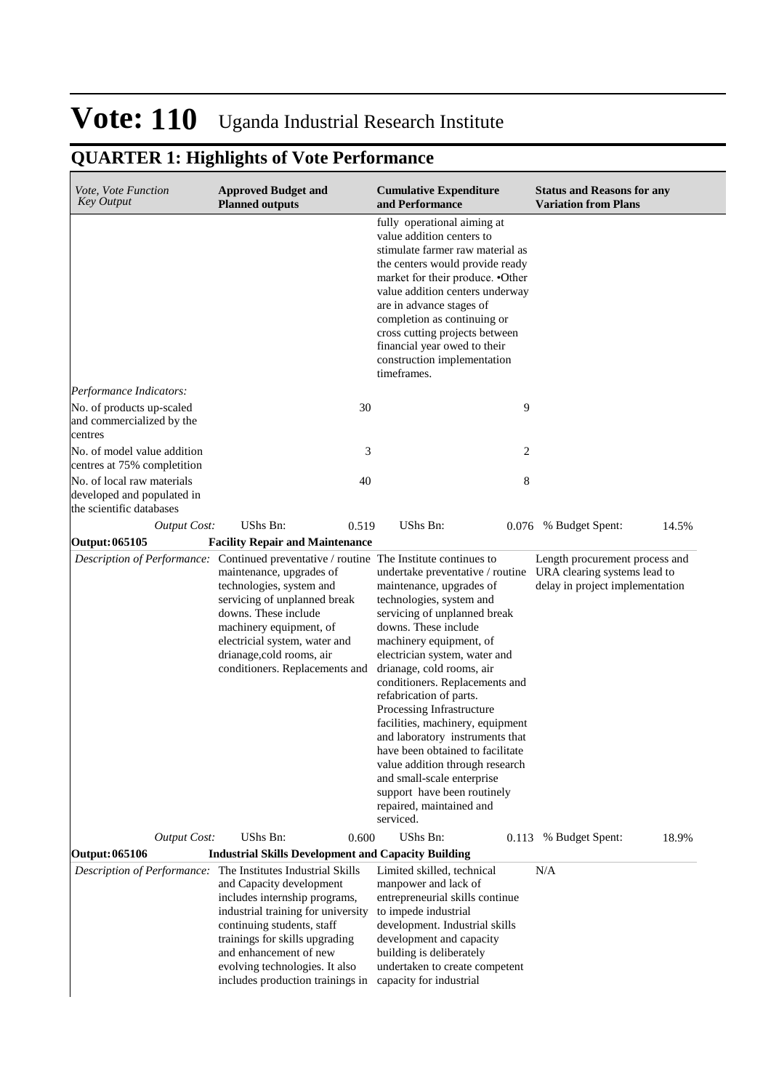| Vote, Vote Function<br><b>Key Output</b>                                             | <b>Approved Budget and</b><br><b>Planned outputs</b>                                                                                                                                                                                                                                                                               | <b>Cumulative Expenditure</b><br>and Performance                                                                                                                                                                                                                                                                                                                                                                                                                                                                                                                                        | <b>Status and Reasons for any</b><br><b>Variation from Plans</b>                                  |
|--------------------------------------------------------------------------------------|------------------------------------------------------------------------------------------------------------------------------------------------------------------------------------------------------------------------------------------------------------------------------------------------------------------------------------|-----------------------------------------------------------------------------------------------------------------------------------------------------------------------------------------------------------------------------------------------------------------------------------------------------------------------------------------------------------------------------------------------------------------------------------------------------------------------------------------------------------------------------------------------------------------------------------------|---------------------------------------------------------------------------------------------------|
|                                                                                      |                                                                                                                                                                                                                                                                                                                                    | fully operational aiming at<br>value addition centers to<br>stimulate farmer raw material as<br>the centers would provide ready<br>market for their produce. • Other<br>value addition centers underway<br>are in advance stages of<br>completion as continuing or<br>cross cutting projects between<br>financial year owed to their<br>construction implementation<br>timeframes.                                                                                                                                                                                                      |                                                                                                   |
| Performance Indicators:                                                              |                                                                                                                                                                                                                                                                                                                                    |                                                                                                                                                                                                                                                                                                                                                                                                                                                                                                                                                                                         |                                                                                                   |
| No. of products up-scaled<br>and commercialized by the<br>centres                    | 30                                                                                                                                                                                                                                                                                                                                 | 9                                                                                                                                                                                                                                                                                                                                                                                                                                                                                                                                                                                       |                                                                                                   |
| No. of model value addition<br>centres at 75% completition                           | 3                                                                                                                                                                                                                                                                                                                                  | 2                                                                                                                                                                                                                                                                                                                                                                                                                                                                                                                                                                                       |                                                                                                   |
| No. of local raw materials<br>developed and populated in<br>the scientific databases | 40                                                                                                                                                                                                                                                                                                                                 | 8                                                                                                                                                                                                                                                                                                                                                                                                                                                                                                                                                                                       |                                                                                                   |
| <b>Output Cost:</b>                                                                  | UShs Bn:<br>0.519                                                                                                                                                                                                                                                                                                                  | UShs Bn:                                                                                                                                                                                                                                                                                                                                                                                                                                                                                                                                                                                | 14.5%<br>0.076 % Budget Spent:                                                                    |
| Output: 065105                                                                       | <b>Facility Repair and Maintenance</b>                                                                                                                                                                                                                                                                                             |                                                                                                                                                                                                                                                                                                                                                                                                                                                                                                                                                                                         |                                                                                                   |
|                                                                                      | Description of Performance: Continued preventative / routine The Institute continues to<br>maintenance, upgrades of<br>technologies, system and<br>servicing of unplanned break<br>downs. These include<br>machinery equipment, of<br>electricial system, water and<br>drianage, cold rooms, air<br>conditioners. Replacements and | undertake preventative / routine<br>maintenance, upgrades of<br>technologies, system and<br>servicing of unplanned break<br>downs. These include<br>machinery equipment, of<br>electrician system, water and<br>drianage, cold rooms, air<br>conditioners. Replacements and<br>refabrication of parts.<br>Processing Infrastructure<br>facilities, machinery, equipment<br>and laboratory instruments that<br>have been obtained to facilitate<br>value addition through research<br>and small-scale enterprise<br>support have been routinely<br>repaired, maintained and<br>serviced. | Length procurement process and<br>URA clearing systems lead to<br>delay in project implementation |
| <b>Output Cost:</b>                                                                  | UShs Bn:<br>0.600                                                                                                                                                                                                                                                                                                                  | UShs Bn:<br>0.113                                                                                                                                                                                                                                                                                                                                                                                                                                                                                                                                                                       | 18.9%<br>% Budget Spent:                                                                          |
| Output: 065106                                                                       | <b>Industrial Skills Development and Capacity Building</b>                                                                                                                                                                                                                                                                         |                                                                                                                                                                                                                                                                                                                                                                                                                                                                                                                                                                                         |                                                                                                   |
|                                                                                      | Description of Performance: The Institutes Industrial Skills<br>and Capacity development<br>includes internship programs,<br>industrial training for university<br>continuing students, staff<br>trainings for skills upgrading<br>and enhancement of new<br>evolving technologies. It also<br>includes production trainings in    | Limited skilled, technical<br>manpower and lack of<br>entrepreneurial skills continue<br>to impede industrial<br>development. Industrial skills<br>development and capacity<br>building is deliberately<br>undertaken to create competent<br>capacity for industrial                                                                                                                                                                                                                                                                                                                    | N/A                                                                                               |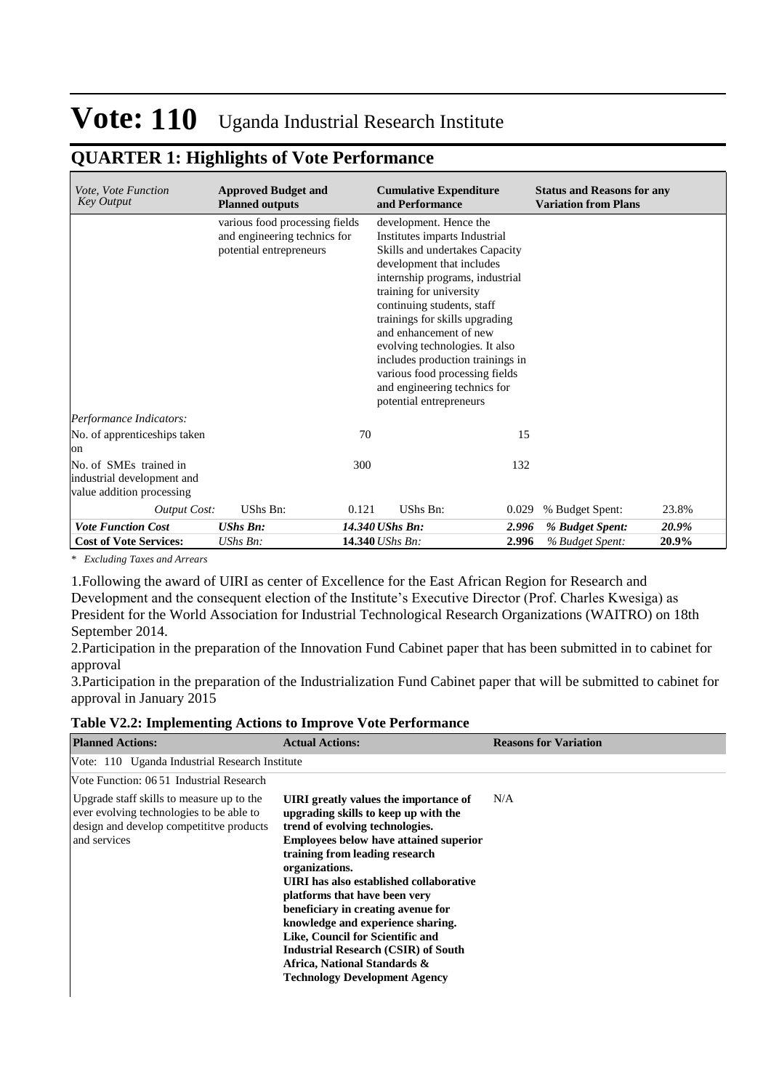### **QUARTER 1: Highlights of Vote Performance**

| Vote, Vote Function<br><b>Key Output</b>                                          | <b>Approved Budget and</b><br><b>Planned outputs</b>                                      |       | <b>Cumulative Expenditure</b><br>and Performance                                                                                                                                                                                                                                                                                                                                                                                                  |       | <b>Status and Reasons for any</b><br><b>Variation from Plans</b> |       |
|-----------------------------------------------------------------------------------|-------------------------------------------------------------------------------------------|-------|---------------------------------------------------------------------------------------------------------------------------------------------------------------------------------------------------------------------------------------------------------------------------------------------------------------------------------------------------------------------------------------------------------------------------------------------------|-------|------------------------------------------------------------------|-------|
|                                                                                   | various food processing fields<br>and engineering technics for<br>potential entrepreneurs |       | development. Hence the<br>Institutes imparts Industrial<br>Skills and undertakes Capacity<br>development that includes<br>internship programs, industrial<br>training for university<br>continuing students, staff<br>trainings for skills upgrading<br>and enhancement of new<br>evolving technologies. It also<br>includes production trainings in<br>various food processing fields<br>and engineering technics for<br>potential entrepreneurs |       |                                                                  |       |
| Performance Indicators:                                                           |                                                                                           |       |                                                                                                                                                                                                                                                                                                                                                                                                                                                   |       |                                                                  |       |
| No. of apprenticeships taken<br>on                                                |                                                                                           | 70    |                                                                                                                                                                                                                                                                                                                                                                                                                                                   | 15    |                                                                  |       |
| No. of SMEs trained in<br>industrial development and<br>value addition processing |                                                                                           | 300   |                                                                                                                                                                                                                                                                                                                                                                                                                                                   | 132   |                                                                  |       |
| <b>Output Cost:</b>                                                               | UShs Bn:                                                                                  | 0.121 | UShs Bn:                                                                                                                                                                                                                                                                                                                                                                                                                                          | 0.029 | % Budget Spent:                                                  | 23.8% |
| <b>Vote Function Cost</b>                                                         | <b>UShs Bn:</b>                                                                           |       | 14.340 UShs Bn:                                                                                                                                                                                                                                                                                                                                                                                                                                   | 2.996 | % Budget Spent:                                                  | 20.9% |
| <b>Cost of Vote Services:</b>                                                     | UShs Bn:                                                                                  |       | 14.340 UShs Bn:                                                                                                                                                                                                                                                                                                                                                                                                                                   | 2.996 | % Budget Spent:                                                  | 20.9% |

*\* Excluding Taxes and Arrears*

1. Following the award of UIRI as center of Excellence for the East African Region for Research and Development and the consequent election of the Institute's Executive Director (Prof. Charles Kwesiga) as President for the World Association for Industrial Technological Research Organizations (WAITRO) on 18th September 2014.

2. Participation in the preparation of the Innovation Fund Cabinet paper that has been submitted in to cabinet for approval

3. Participation in the preparation of the Industrialization Fund Cabinet paper that will be submitted to cabinet for approval in January 2015

**Table V2.2: Implementing Actions to Improve Vote Performance**

| <b>Planned Actions:</b>                                                                                                                          | <b>Actual Actions:</b>                                                                                                                                                                                                                                                                                                                                                                                                                                                                                                                 | <b>Reasons for Variation</b> |
|--------------------------------------------------------------------------------------------------------------------------------------------------|----------------------------------------------------------------------------------------------------------------------------------------------------------------------------------------------------------------------------------------------------------------------------------------------------------------------------------------------------------------------------------------------------------------------------------------------------------------------------------------------------------------------------------------|------------------------------|
| Vote: 110 Uganda Industrial Research Institute                                                                                                   |                                                                                                                                                                                                                                                                                                                                                                                                                                                                                                                                        |                              |
| Vote Function: 06.51 Industrial Research                                                                                                         |                                                                                                                                                                                                                                                                                                                                                                                                                                                                                                                                        |                              |
| Upgrade staff skills to measure up to the<br>ever evolving technologies to be able to<br>design and develop competitive products<br>and services | UIRI greatly values the importance of<br>upgrading skills to keep up with the<br>trend of evolving technologies.<br><b>Employees below have attained superior</b><br>training from leading research<br>organizations.<br>UIRI has also established collaborative<br>platforms that have been very<br>beneficiary in creating avenue for<br>knowledge and experience sharing.<br>Like, Council for Scientific and<br><b>Industrial Research (CSIR) of South</b><br>Africa, National Standards &<br><b>Technology Development Agency</b> | N/A                          |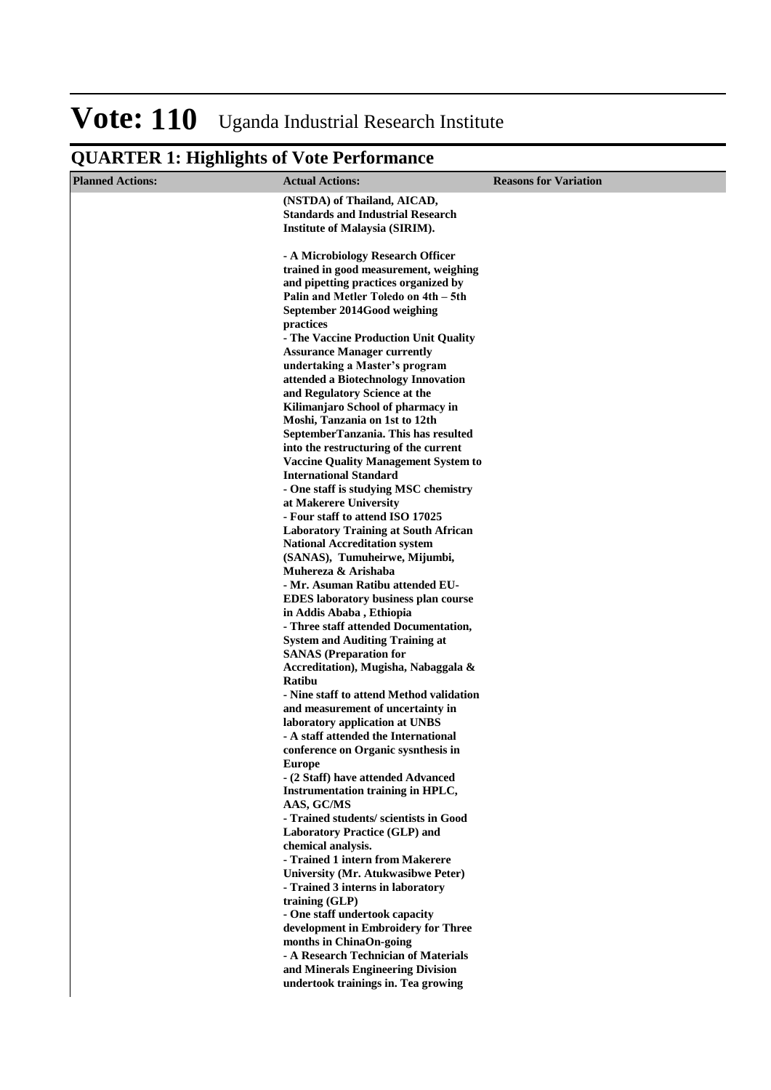| <b>Planned Actions:</b> | <b>Actual Actions:</b>                                                                                                       | <b>Reasons for Variation</b> |
|-------------------------|------------------------------------------------------------------------------------------------------------------------------|------------------------------|
|                         | (NSTDA) of Thailand, AICAD,<br><b>Standards and Industrial Research</b><br><b>Institute of Malaysia (SIRIM).</b>             |                              |
|                         | - A Microbiology Research Officer<br>trained in good measurement, weighing<br>and pipetting practices organized by           |                              |
|                         | Palin and Metler Toledo on 4th - 5th<br>September 2014Good weighing<br>practices                                             |                              |
|                         | - The Vaccine Production Unit Quality<br><b>Assurance Manager currently</b>                                                  |                              |
|                         | undertaking a Master's program<br>attended a Biotechnology Innovation<br>and Regulatory Science at the                       |                              |
|                         | Kilimanjaro School of pharmacy in<br>Moshi, Tanzania on 1st to 12th                                                          |                              |
|                         | SeptemberTanzania. This has resulted<br>into the restructuring of the current<br><b>Vaccine Quality Management System to</b> |                              |
|                         | <b>International Standard</b><br>- One staff is studying MSC chemistry                                                       |                              |
|                         | at Makerere University<br>- Four staff to attend ISO 17025                                                                   |                              |
|                         | <b>Laboratory Training at South African</b><br><b>National Accreditation system</b><br>(SANAS), Tumuheirwe, Mijumbi,         |                              |
|                         | Muhereza & Arishaba<br>- Mr. Asuman Ratibu attended EU-                                                                      |                              |
|                         | <b>EDES</b> laboratory business plan course<br>in Addis Ababa, Ethiopia<br>- Three staff attended Documentation,             |                              |
|                         | <b>System and Auditing Training at</b><br><b>SANAS</b> (Preparation for<br>Accreditation), Mugisha, Nabaggala &              |                              |
|                         | Ratibu<br>- Nine staff to attend Method validation                                                                           |                              |
|                         | and measurement of uncertainty in<br>laboratory application at UNBS<br>- A staff attended the International                  |                              |
|                         | conference on Organic sysnthesis in<br><b>Europe</b>                                                                         |                              |
|                         | - (2 Staff) have attended Advanced<br>Instrumentation training in HPLC,<br>AAS, GC/MS                                        |                              |
|                         | - Trained students/ scientists in Good<br><b>Laboratory Practice (GLP) and</b>                                               |                              |
|                         | chemical analysis.<br>- Trained 1 intern from Makerere<br>University (Mr. Atukwasibwe Peter)                                 |                              |
|                         | - Trained 3 interns in laboratory<br>training (GLP)                                                                          |                              |
|                         | - One staff undertook capacity<br>development in Embroidery for Three<br>months in ChinaOn-going                             |                              |
|                         | - A Research Technician of Materials<br>and Minerals Engineering Division                                                    |                              |
|                         | undertook trainings in. Tea growing                                                                                          |                              |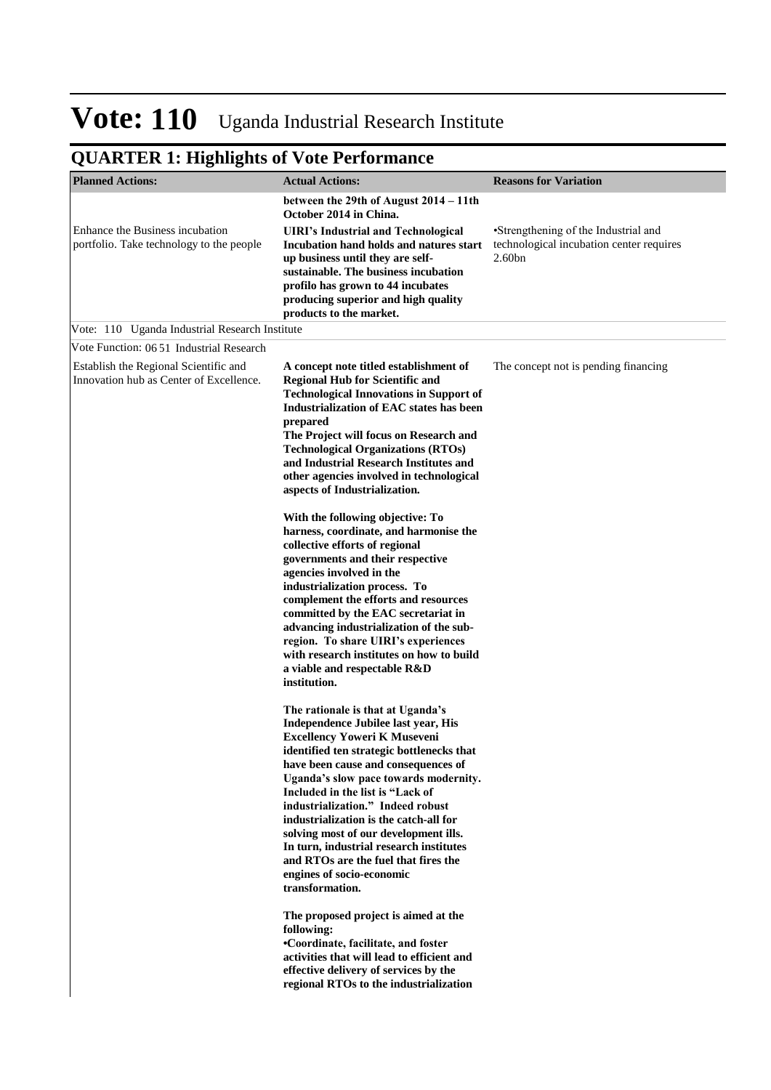| <b>Planned Actions:</b>                                                          | <b>Actual Actions:</b>                                                                                                                                                                                                                                                                                                                                                                                                                                                                                                                                                                                                                                                                                                                                                    | <b>Reasons for Variation</b>                                                               |
|----------------------------------------------------------------------------------|---------------------------------------------------------------------------------------------------------------------------------------------------------------------------------------------------------------------------------------------------------------------------------------------------------------------------------------------------------------------------------------------------------------------------------------------------------------------------------------------------------------------------------------------------------------------------------------------------------------------------------------------------------------------------------------------------------------------------------------------------------------------------|--------------------------------------------------------------------------------------------|
|                                                                                  | between the 29th of August 2014 – 11th<br>October 2014 in China.                                                                                                                                                                                                                                                                                                                                                                                                                                                                                                                                                                                                                                                                                                          |                                                                                            |
| Enhance the Business incubation<br>portfolio. Take technology to the people      | <b>UIRI's Industrial and Technological</b><br>Incubation hand holds and natures start<br>up business until they are self-<br>sustainable. The business incubation<br>profilo has grown to 44 incubates<br>producing superior and high quality<br>products to the market.                                                                                                                                                                                                                                                                                                                                                                                                                                                                                                  | •Strengthening of the Industrial and<br>technological incubation center requires<br>2.60bn |
| Vote: 110 Uganda Industrial Research Institute                                   |                                                                                                                                                                                                                                                                                                                                                                                                                                                                                                                                                                                                                                                                                                                                                                           |                                                                                            |
| Vote Function: 06.51 Industrial Research                                         |                                                                                                                                                                                                                                                                                                                                                                                                                                                                                                                                                                                                                                                                                                                                                                           |                                                                                            |
| Establish the Regional Scientific and<br>Innovation hub as Center of Excellence. | A concept note titled establishment of<br><b>Regional Hub for Scientific and</b><br><b>Technological Innovations in Support of</b><br>Industrialization of EAC states has been<br>prepared<br>The Project will focus on Research and<br><b>Technological Organizations (RTOs)</b><br>and Industrial Research Institutes and<br>other agencies involved in technological<br>aspects of Industrialization.                                                                                                                                                                                                                                                                                                                                                                  | The concept not is pending financing                                                       |
|                                                                                  | With the following objective: To<br>harness, coordinate, and harmonise the<br>collective efforts of regional<br>governments and their respective<br>agencies involved in the<br>industrialization process. To<br>complement the efforts and resources<br>committed by the EAC secretariat in<br>advancing industrialization of the sub-<br>region. To share UIRI's experiences<br>with research institutes on how to build<br>a viable and respectable R&D<br>institution.                                                                                                                                                                                                                                                                                                |                                                                                            |
|                                                                                  | The rationale is that at Uganda's<br>Independence Jubilee last year, His<br><b>Excellency Yoweri K Museveni</b><br>identified ten strategic bottlenecks that<br>have been cause and consequences of<br>Uganda's slow pace towards modernity.<br>Included in the list is "Lack of<br>industrialization." Indeed robust<br>industrialization is the catch-all for<br>solving most of our development ills.<br>In turn, industrial research institutes<br>and RTOs are the fuel that fires the<br>engines of socio-economic<br>transformation.<br>The proposed project is aimed at the<br>following:<br>•Coordinate, facilitate, and foster<br>activities that will lead to efficient and<br>effective delivery of services by the<br>regional RTOs to the industrialization |                                                                                            |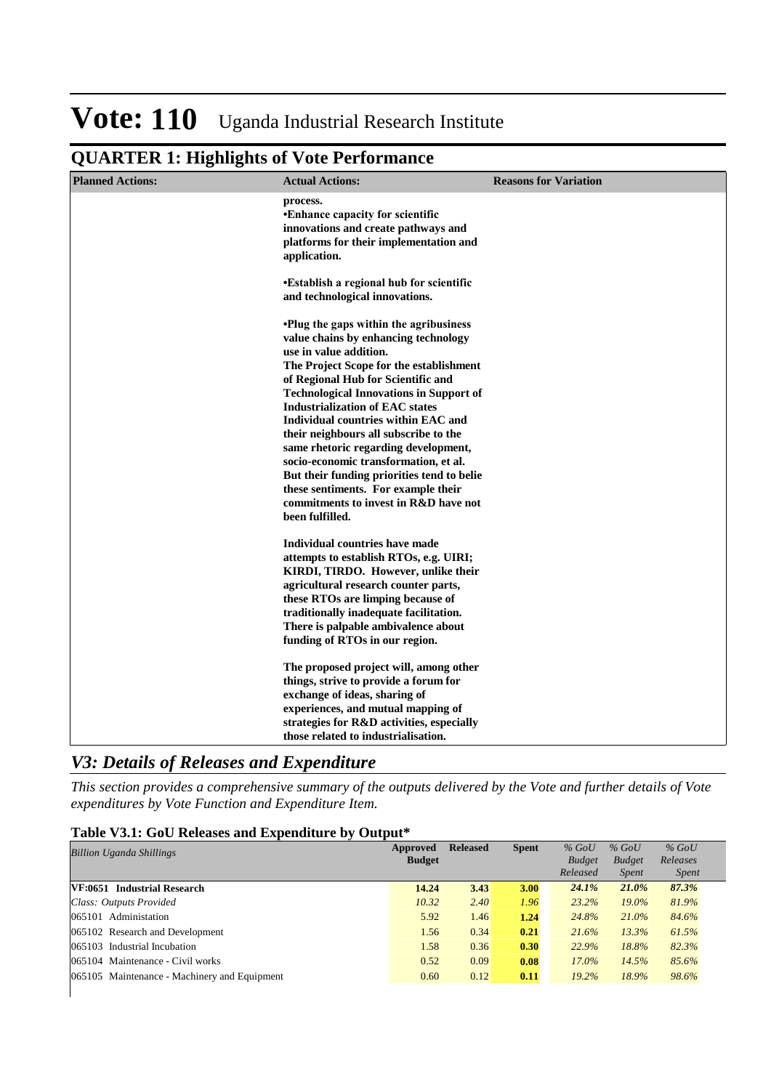## **QUARTER 1: Highlights of Vote Performance**

| <b>Planned Actions:</b> | <b>Actual Actions:</b>                                                                                                                                                                                                                                                                                                                                                                                                                                                                                                                                                                                          | <b>Reasons for Variation</b> |
|-------------------------|-----------------------------------------------------------------------------------------------------------------------------------------------------------------------------------------------------------------------------------------------------------------------------------------------------------------------------------------------------------------------------------------------------------------------------------------------------------------------------------------------------------------------------------------------------------------------------------------------------------------|------------------------------|
|                         | process.<br>•Enhance capacity for scientific<br>innovations and create pathways and<br>platforms for their implementation and<br>application.                                                                                                                                                                                                                                                                                                                                                                                                                                                                   |                              |
|                         | •Establish a regional hub for scientific<br>and technological innovations.                                                                                                                                                                                                                                                                                                                                                                                                                                                                                                                                      |                              |
|                         | <b>.</b> Plug the gaps within the agribusiness<br>value chains by enhancing technology<br>use in value addition.<br>The Project Scope for the establishment<br>of Regional Hub for Scientific and<br><b>Technological Innovations in Support of</b><br><b>Industrialization of EAC states</b><br>Individual countries within EAC and<br>their neighbours all subscribe to the<br>same rhetoric regarding development,<br>socio-economic transformation, et al.<br>But their funding priorities tend to belie<br>these sentiments. For example their<br>commitments to invest in R&D have not<br>been fulfilled. |                              |
|                         | Individual countries have made<br>attempts to establish RTOs, e.g. UIRI;<br>KIRDI, TIRDO. However, unlike their<br>agricultural research counter parts,<br>these RTOs are limping because of<br>traditionally inadequate facilitation.<br>There is palpable ambivalence about<br>funding of RTOs in our region.                                                                                                                                                                                                                                                                                                 |                              |
|                         | The proposed project will, among other<br>things, strive to provide a forum for<br>exchange of ideas, sharing of<br>experiences, and mutual mapping of<br>strategies for R&D activities, especially<br>those related to industrialisation.                                                                                                                                                                                                                                                                                                                                                                      |                              |

### *V3: Details of Releases and Expenditure*

*This section provides a comprehensive summary of the outputs delivered by the Vote and further details of Vote expenditures by Vote Function and Expenditure Item.*

#### **Table V3.1: GoU Releases and Expenditure by Output\***

| <b>Billion Uganda Shillings</b>              | Approved      | <b>Released</b> | <b>Spent</b> | $%$ GoU       | $%$ GoU       | $%$ GoU      |
|----------------------------------------------|---------------|-----------------|--------------|---------------|---------------|--------------|
|                                              | <b>Budget</b> |                 |              | <b>Budget</b> | <b>Budget</b> | Releases     |
|                                              |               |                 |              | Released      | <i>Spent</i>  | <i>Spent</i> |
| VF:0651 Industrial Research                  | 14.24         | 3.43            | 3.00         | 24.1%         | $21.0\%$      | 87.3%        |
| Class: Outputs Provided                      | 10.32         | 2.40            | 1.96         | 23.2%         | $19.0\%$      | 81.9%        |
| 065101 Administation                         | 5.92          | 1.46            | 1.24         | 24.8%         | 21.0%         | 84.6%        |
| 065102 Research and Development              | 1.56          | 0.34            | 0.21         | 21.6%         | 13.3%         | 61.5%        |
| 065103 Industrial Incubation                 | 1.58          | 0.36            | 0.30         | 22.9%         | 18.8%         | 82.3%        |
| 065104 Maintenance - Civil works             | 0.52          | 0.09            | 0.08         | $17.0\%$      | 14.5%         | 85.6%        |
| 065105 Maintenance - Machinery and Equipment | 0.60          | 0.12            | 0.11         | $19.2\%$      | 18.9%         | 98.6%        |
|                                              |               |                 |              |               |               |              |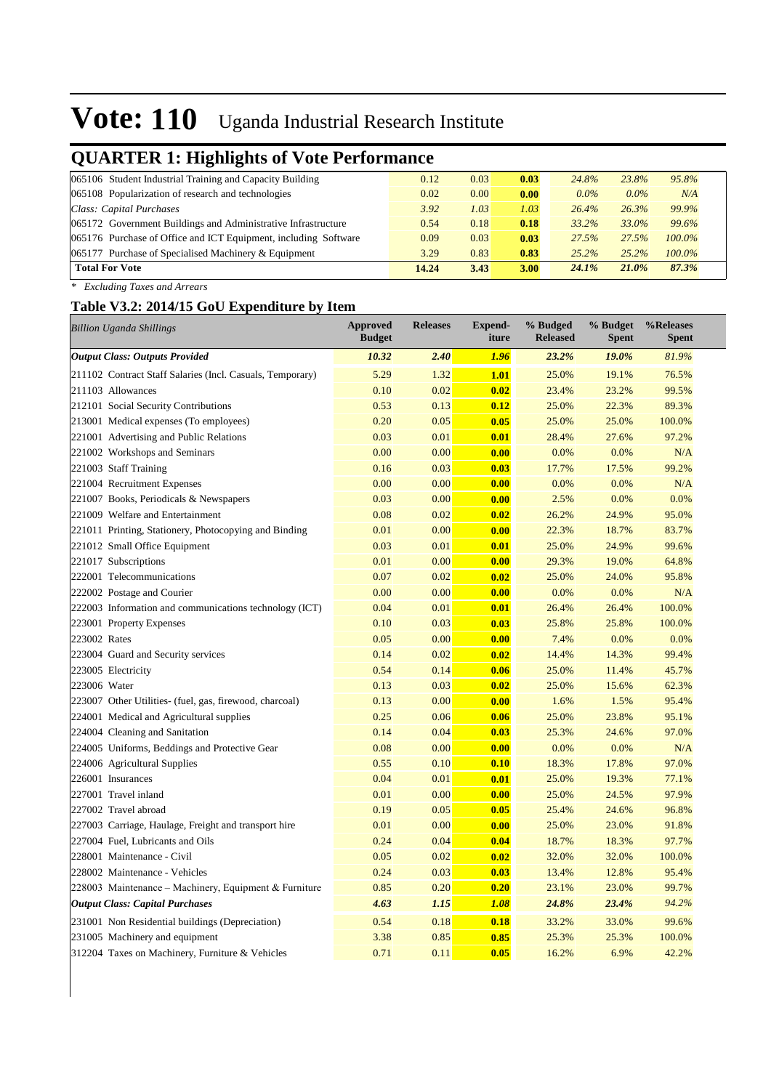## **QUARTER 1: Highlights of Vote Performance**

| 0.12  | 0.03 | 0.03 | 24.8%    | 23.8%   | 95.8%     |
|-------|------|------|----------|---------|-----------|
| 0.02  | 0.00 | 0.00 | $0.0\%$  | $0.0\%$ | N/A       |
| 3.92  | 1.03 | 1.03 | 26.4%    | 26.3%   | 99.9%     |
| 0.54  | 0.18 | 0.18 | $33.2\%$ | 33.0%   | 99.6%     |
| 0.09  | 0.03 | 0.03 | 27.5%    | 27.5%   | $100.0\%$ |
| 3.29  | 0.83 | 0.83 | 25.2%    | 25.2%   | 100.0%    |
| 14.24 | 3.43 | 3.00 | 24.1%    | 21.0%   | 87.3%     |
|       |      |      |          |         |           |

*\* Excluding Taxes and Arrears*

#### **Table V3.2: 2014/15 GoU Expenditure by Item**

| <b>Billion Uganda Shillings</b>                           | <b>Approved</b><br><b>Budget</b> | <b>Releases</b> | <b>Expend-</b><br>iture | % Budged<br><b>Released</b> | % Budget<br><b>Spent</b> | %Releases<br><b>Spent</b> |
|-----------------------------------------------------------|----------------------------------|-----------------|-------------------------|-----------------------------|--------------------------|---------------------------|
| <b>Output Class: Outputs Provided</b>                     | 10.32                            | 2.40            | 1.96                    | 23.2%                       | 19.0%                    | 81.9%                     |
| 211102 Contract Staff Salaries (Incl. Casuals, Temporary) | 5.29                             | 1.32            | 1.01                    | 25.0%                       | 19.1%                    | 76.5%                     |
| 211103 Allowances                                         | 0.10                             | 0.02            | 0.02                    | 23.4%                       | 23.2%                    | 99.5%                     |
| 212101 Social Security Contributions                      | 0.53                             | 0.13            | 0.12                    | 25.0%                       | 22.3%                    | 89.3%                     |
| 213001 Medical expenses (To employees)                    | 0.20                             | 0.05            | 0.05                    | 25.0%                       | 25.0%                    | 100.0%                    |
| 221001 Advertising and Public Relations                   | 0.03                             | 0.01            | 0.01                    | 28.4%                       | 27.6%                    | 97.2%                     |
| 221002 Workshops and Seminars                             | 0.00                             | 0.00            | 0.00                    | 0.0%                        | 0.0%                     | N/A                       |
| 221003 Staff Training                                     | 0.16                             | 0.03            | 0.03                    | 17.7%                       | 17.5%                    | 99.2%                     |
| 221004 Recruitment Expenses                               | 0.00                             | 0.00            | 0.00                    | 0.0%                        | 0.0%                     | N/A                       |
| 221007 Books, Periodicals & Newspapers                    | 0.03                             | 0.00            | 0.00                    | 2.5%                        | 0.0%                     | 0.0%                      |
| 221009 Welfare and Entertainment                          | 0.08                             | 0.02            | 0.02                    | 26.2%                       | 24.9%                    | 95.0%                     |
| 221011 Printing, Stationery, Photocopying and Binding     | 0.01                             | 0.00            | 0.00                    | 22.3%                       | 18.7%                    | 83.7%                     |
| 221012 Small Office Equipment                             | 0.03                             | 0.01            | 0.01                    | 25.0%                       | 24.9%                    | 99.6%                     |
| 221017 Subscriptions                                      | 0.01                             | 0.00            | 0.00                    | 29.3%                       | 19.0%                    | 64.8%                     |
| 222001 Telecommunications                                 | 0.07                             | 0.02            | 0.02                    | 25.0%                       | 24.0%                    | 95.8%                     |
| 222002 Postage and Courier                                | 0.00                             | 0.00            | 0.00                    | 0.0%                        | 0.0%                     | N/A                       |
| 222003 Information and communications technology (ICT)    | 0.04                             | 0.01            | 0.01                    | 26.4%                       | 26.4%                    | 100.0%                    |
| 223001 Property Expenses                                  | 0.10                             | 0.03            | 0.03                    | 25.8%                       | 25.8%                    | 100.0%                    |
| 223002 Rates                                              | 0.05                             | 0.00            | 0.00                    | 7.4%                        | 0.0%                     | 0.0%                      |
| 223004 Guard and Security services                        | 0.14                             | 0.02            | 0.02                    | 14.4%                       | 14.3%                    | 99.4%                     |
| 223005 Electricity                                        | 0.54                             | 0.14            | 0.06                    | 25.0%                       | 11.4%                    | 45.7%                     |
| 223006 Water                                              | 0.13                             | 0.03            | 0.02                    | 25.0%                       | 15.6%                    | 62.3%                     |
| 223007 Other Utilities- (fuel, gas, firewood, charcoal)   | 0.13                             | 0.00            | 0.00                    | 1.6%                        | 1.5%                     | 95.4%                     |
| 224001 Medical and Agricultural supplies                  | 0.25                             | 0.06            | 0.06                    | 25.0%                       | 23.8%                    | 95.1%                     |
| 224004 Cleaning and Sanitation                            | 0.14                             | 0.04            | 0.03                    | 25.3%                       | 24.6%                    | 97.0%                     |
| 224005 Uniforms, Beddings and Protective Gear             | 0.08                             | 0.00            | 0.00                    | 0.0%                        | 0.0%                     | N/A                       |
| 224006 Agricultural Supplies                              | 0.55                             | 0.10            | 0.10                    | 18.3%                       | 17.8%                    | 97.0%                     |
| 226001 Insurances                                         | 0.04                             | 0.01            | 0.01                    | 25.0%                       | 19.3%                    | 77.1%                     |
| 227001 Travel inland                                      | 0.01                             | 0.00            | 0.00                    | 25.0%                       | 24.5%                    | 97.9%                     |
| 227002 Travel abroad                                      | 0.19                             | 0.05            | 0.05                    | 25.4%                       | 24.6%                    | 96.8%                     |
| 227003 Carriage, Haulage, Freight and transport hire      | 0.01                             | 0.00            | 0.00                    | 25.0%                       | 23.0%                    | 91.8%                     |
| 227004 Fuel, Lubricants and Oils                          | 0.24                             | 0.04            | 0.04                    | 18.7%                       | 18.3%                    | 97.7%                     |
| 228001 Maintenance - Civil                                | 0.05                             | 0.02            | 0.02                    | 32.0%                       | 32.0%                    | 100.0%                    |
| 228002 Maintenance - Vehicles                             | 0.24                             | 0.03            | 0.03                    | 13.4%                       | 12.8%                    | 95.4%                     |
| 228003 Maintenance – Machinery, Equipment & Furniture     | 0.85                             | 0.20            | 0.20                    | 23.1%                       | 23.0%                    | 99.7%                     |
| <b>Output Class: Capital Purchases</b>                    | 4.63                             | 1.15            | 1.08                    | 24.8%                       | 23.4%                    | 94.2%                     |
| 231001 Non Residential buildings (Depreciation)           | 0.54                             | 0.18            | 0.18                    | 33.2%                       | 33.0%                    | 99.6%                     |
| 231005 Machinery and equipment                            | 3.38                             | 0.85            | 0.85                    | 25.3%                       | 25.3%                    | 100.0%                    |
| 312204 Taxes on Machinery, Furniture & Vehicles           | 0.71                             | 0.11            | 0.05                    | 16.2%                       | 6.9%                     | 42.2%                     |